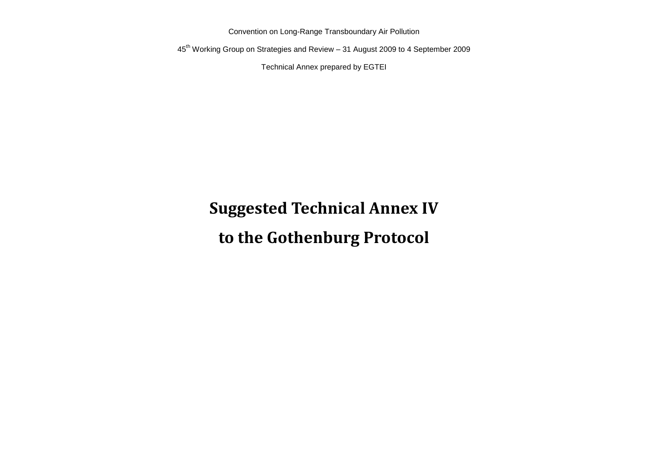Convention on Long-Range Transboundary Air Pollution

45th Working Group on Strategies and Review – 31 August 2009 to 4 September 2009

Technical Annex prepared by EGTEI

# **Suggested Technical Annex IV to the Gothenburg Protocol**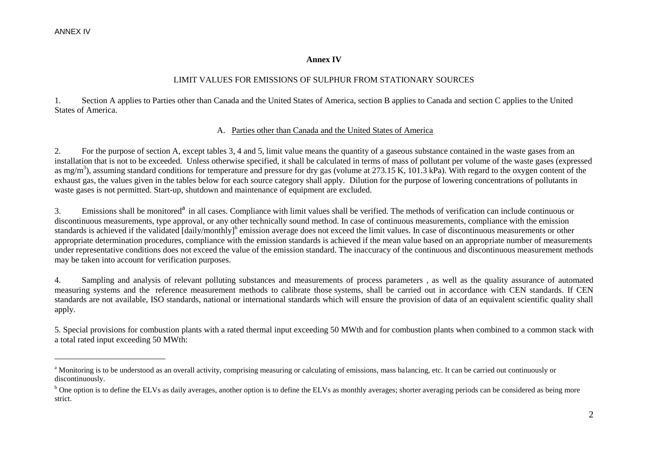$\overline{a}$ 

#### **Annex IV**

#### LIMIT VALUES FOR EMISSIONS OF SULPHUR FROM STATIONARY SOURCES

1. Section A applies to Parties other than Canada and the United States of America, section B applies to Canada and section C applies to the United States of America.

#### A. Parties other than Canada and the United States of America

2. For the purpose of section A, except tables 3, 4 and 5, limit value means the quantity of a gaseous substance contained in the waste gases from an installation that is not to be exceeded. Unless otherwise specified, it shall be calculated in terms of mass of pollutant per volume of the waste gases (expressed as mg/m<sup>3</sup>), assuming standard conditions for temperature and pressure for dry gas (volume at 273.15 K, 101.3 kPa). With regard to the oxygen content of the exhaust gas, the values given in the tables below for each source category shall apply. Dilution for the purpose of lowering concentrations of pollutants in waste gases is not permitted. Start-up, shutdown and maintenance of equipment are excluded.

3. Emissions shall be monitored<sup>a</sup> in all cases. Compliance with limit values shall be verified. The methods of verification can include continuous or discontinuous measurements, type approval, or any other technically sound method. In case of continuous measurements, compliance with the emission standards is achieved if the validated [daily/monthly]<sup>b</sup> emission average does not exceed the limit values. In case of discontinuous measurements or other appropriate determination procedures, compliance with the emission standards is achieved if the mean value based on an appropriate number of measurements under representative conditions does not exceed the value of the emission standard. The inaccuracy of the continuous and discontinuous measurement methods may be taken into account for verification purposes.

4. Sampling and analysis of relevant polluting substances and measurements of process parameters , as well as the quality assurance of automated measuring systems and the reference measurement methods to calibrate those systems, shall be carried out in accordance with CEN standards. If CEN standards are not available, ISO standards, national or international standards which will ensure the provision of data of an equivalent scientific quality shall apply.

5. Special provisions for combustion plants with a rated thermal input exceeding 50 MWth and for combustion plants when combined to a common stack with a total rated input exceeding 50 MWth:

<sup>&</sup>lt;sup>a</sup> Monitoring is to be understood as an overall activity, comprising measuring or calculating of emissions, mass balancing, etc. It can be carried out continuously or discontinuously.

<sup>&</sup>lt;sup>b</sup> One option is to define the ELVs as daily averages, another option is to define the ELVs as monthly averages; shorter averaging periods can be considered as being more strict.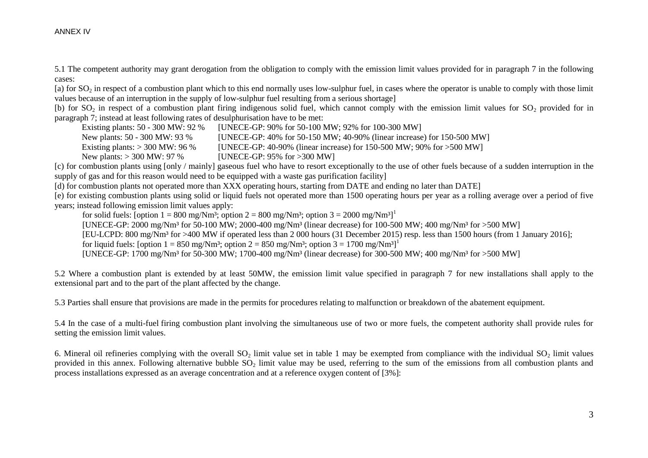5.1 The competent authority may grant derogation from the obligation to comply with the emission limit values provided for in paragraph 7 in the following cases:

[a) for  $SO_2$  in respect of a combustion plant which to this end normally uses low-sulphur fuel, in cases where the operator is unable to comply with those limit values because of an interruption in the supply of low-sulphur fuel resulting from a serious shortage]

[b) for  $SO_2$  in respect of a combustion plant firing indigenous solid fuel, which cannot comply with the emission limit values for  $SO_2$  provided for in paragraph 7; instead at least following rates of desulphurisation have to be met:

Existing plants: 50 - 300 MW: 92 % [UNECE-GP: 90% for 50-100 MW; 92% for 100-300 MW]

New plants: 50 - 300 MW: 93 % [UNECE-GP: 40% for 50-150 MW; 40-90% (linear increase) for 150-500 MW]

Existing plants:  $> 300$  MW: 96 % [UNECE-GP: 40-90% (linear increase) for 150-500 MW; 90% for  $>500$  MW]

New plants: > 300 MW: 97 % [UNECE-GP: 95% for >300 MW]

[c) for combustion plants using [only / mainly] gaseous fuel who have to resort exceptionally to the use of other fuels because of a sudden interruption in the supply of gas and for this reason would need to be equipped with a waste gas purification facility]

[d) for combustion plants not operated more than XXX operating hours, starting from DATE and ending no later than DATE]

[e) for existing combustion plants using solid or liquid fuels not operated more than 1500 operating hours per year as a rolling average over a period of five years; instead following emission limit values apply:

for solid fuels: [option  $1 = 800$  mg/Nm<sup>3</sup>; option  $2 = 800$  mg/Nm<sup>3</sup>; option  $3 = 2000$  mg/Nm<sup>3</sup>]<sup>1</sup>

[UNECE-GP: 2000 mg/Nm<sup>3</sup> for 50-100 MW; 2000-400 mg/Nm<sup>3</sup> (linear decrease) for 100-500 MW; 400 mg/Nm<sup>3</sup> for >500 MW]

[EU-LCPD: 800 mg/Nm³ for >400 MW if operated less than 2 000 hours (31 December 2015) resp. less than 1500 hours (from 1 January 2016];

for liquid fuels: [option  $1 = 850$  mg/Nm<sup>3</sup>; option  $2 = 850$  mg/Nm<sup>3</sup>; option  $3 = 1700$  mg/Nm<sup>3</sup>]<sup>1</sup>

[UNECE-GP: 1700 mg/Nm³ for 50-300 MW; 1700-400 mg/Nm³ (linear decrease) for 300-500 MW; 400 mg/Nm³ for >500 MW]

5.2 Where a combustion plant is extended by at least 50MW, the emission limit value specified in paragraph 7 for new installations shall apply to the extensional part and to the part of the plant affected by the change.

5.3 Parties shall ensure that provisions are made in the permits for procedures relating to malfunction or breakdown of the abatement equipment.

5.4 In the case of a multi-fuel firing combustion plant involving the simultaneous use of two or more fuels, the competent authority shall provide rules for setting the emission limit values.

6. Mineral oil refineries complying with the overall  $SO<sub>2</sub>$  limit value set in table 1 may be exempted from compliance with the individual  $SO<sub>2</sub>$  limit values provided in this annex. Following alternative bubble  $SO<sub>2</sub>$  limit value may be used, referring to the sum of the emissions from all combustion plants and process installations expressed as an average concentration and at a reference oxygen content of [3%]: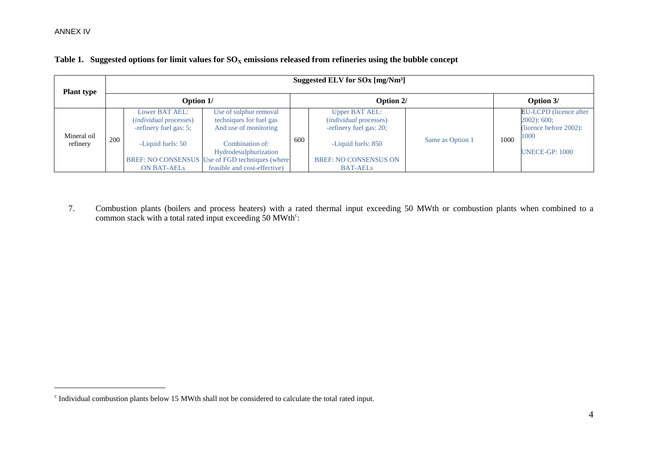$\overline{a}$ 

| <b>Plant type</b>       |     |                                                                           |                                                                                 |     | Suggested ELV for SOx [mg/Nm <sup>3</sup> ]                                       |                  |           |                                                                           |
|-------------------------|-----|---------------------------------------------------------------------------|---------------------------------------------------------------------------------|-----|-----------------------------------------------------------------------------------|------------------|-----------|---------------------------------------------------------------------------|
|                         |     | Option 1/                                                                 |                                                                                 |     | Option 2/                                                                         |                  | Option 3/ |                                                                           |
|                         |     | Lower BAT AEL:<br><i>(individual processes)</i><br>-refinery fuel gas: 5; | Use of sulphur removal<br>techniques for fuel gas<br>And use of monitoring      |     | <b>Upper BAT AEL:</b><br><i>(individual processes)</i><br>-refinery fuel gas: 20; |                  |           | <b>EU-LCPD</b> (licence after<br>$2002)$ : 600;<br>(licence before 2002): |
| Mineral oil<br>refinery | 200 | -Liquid fuels: 50                                                         | Combination of:<br>Hydrodesulphurization                                        | 600 | -Liquid fuels: 850                                                                | Same as Option 1 | 1000      | 1000<br><b>UNECE-GP: 1000</b>                                             |
|                         |     | <b>ON BAT-AELS</b>                                                        | BREF: NO CONSENSUS Use of FGD techniques (where<br>feasible and cost-effective) |     | <b>BREF: NO CONSENSUS ON</b><br><b>BAT-AELs</b>                                   |                  |           |                                                                           |

### Table 1. Suggested options for limit values for  $SO<sub>X</sub>$  emissions released from refineries using the bubble concept

7. Combustion plants (boilers and process heaters) with a rated thermal input exceeding 50 MWth or combustion plants when combined to a common stack with a total rated input exceeding  $50$  MWth<sup>c</sup>:

<sup>&</sup>lt;sup>c</sup> Individual combustion plants below 15 MWth shall not be considered to calculate the total rated input.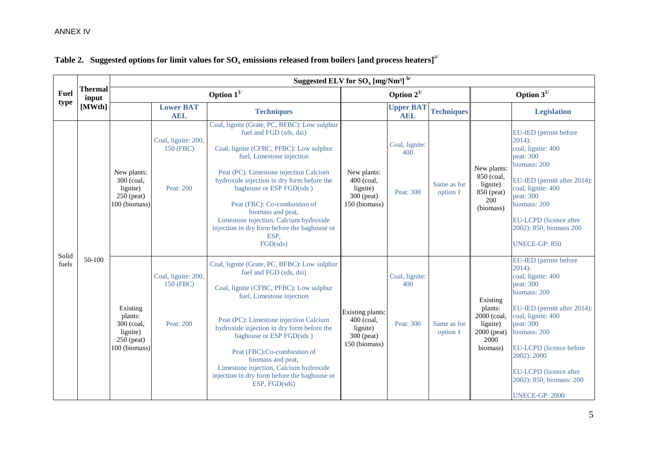|             |                         |                                                                                |                                               | Suggested ELV for $\rm{SO}_{x}$ [mg/Nm <sup>3</sup> ] <sup>b/</sup>                                                                                                                                                                                                                                                                                                                                                                    |                                                                           |                                    |                         |                                                                                   |                                                                                                                                                                                                                                                                                                        |
|-------------|-------------------------|--------------------------------------------------------------------------------|-----------------------------------------------|----------------------------------------------------------------------------------------------------------------------------------------------------------------------------------------------------------------------------------------------------------------------------------------------------------------------------------------------------------------------------------------------------------------------------------------|---------------------------------------------------------------------------|------------------------------------|-------------------------|-----------------------------------------------------------------------------------|--------------------------------------------------------------------------------------------------------------------------------------------------------------------------------------------------------------------------------------------------------------------------------------------------------|
| <b>Fuel</b> | <b>Thermal</b><br>input |                                                                                |                                               | Option $1^{1/2}$                                                                                                                                                                                                                                                                                                                                                                                                                       |                                                                           | Option $2^{1/2}$                   |                         | Option $3^{1/2}$                                                                  |                                                                                                                                                                                                                                                                                                        |
| type        | [MWth]                  |                                                                                | <b>Lower BAT</b><br><b>AEL</b>                | <b>Techniques</b>                                                                                                                                                                                                                                                                                                                                                                                                                      |                                                                           | <b>Upper BAT</b><br><b>AEL</b>     | <b>Techniques</b>       |                                                                                   | <b>Legislation</b>                                                                                                                                                                                                                                                                                     |
| Solid       |                         | New plants:<br>300 (coal,<br>lignite)<br>$250$ (peat)<br>100 (biomass)         | Coal, lignite: 200,<br>150 (FBC)<br>Peat: 200 | Coal, lignite (Grate, PC, BFBC): Low sulphur<br>fuel and FGD (sds, dsi)<br>Coal, lignite (CFBC, PFBC): Low sulphur<br>fuel, Limestone injection<br>Peat (PC): Limestone injection Calcium<br>hydroxide injection in dry form before the<br>baghouse or ESP FGD(sds)<br>Peat (FBC): Co-combustion of<br>biomass and peat,<br>Limestone injection, Calcium hydroxide<br>injection in dry form before the baghouse or<br>ESP.<br>FGD(sds) | New plants:<br>400 (coal,<br>lignite)<br>300 (peat)<br>150 (biomass)      | Coal, lignite:<br>400<br>Peat: 300 | Same as for<br>option 1 | New plants:<br>850 (coal,<br>lignite)<br>850 (peat)<br>200<br>(biomass)           | EU-IED (permit before<br>$2014$ :<br>coal, lignite: 400<br>peat: 300<br>biomass: 200<br>EU-IED (permit after 2014):<br>coal, lignite: 400<br>peat: 300<br>biomass: 200<br>EU-LCPD (licence after<br>2002): 850; biomass 200<br><b>UNECE-GP: 850</b>                                                    |
| fuels       | $50-100$                | Existing<br>plants:<br>300 (coal,<br>lignite)<br>$250$ (peat)<br>100 (biomass) | Coal, lignite: 200,<br>150 (FBC)<br>Peat: 200 | Coal, lignite (Grate, PC, BFBC): Low sulphur<br>fuel and FGD (sds, dsi)<br>Coal, lignite (CFBC, PFBC): Low sulphur<br>fuel, Limestone injection<br>Peat (PC): Limestone injection Calcium<br>hydroxide injection in dry form before the<br>baghouse or ESP FGD(sds)<br>Peat (FBC):Co-combustion of<br>biomass and peat,<br>Limestone injection, Calcium hydroxide<br>injection in dry form before the baghouse or<br>ESP, FGD(sds)     | Existing plants:<br>400 (coal,<br>lignite)<br>300 (peat)<br>150 (biomass) | Coal, lignite:<br>400<br>Peat: 300 | Same as for<br>option 1 | Existing<br>plants:<br>2000 (coal,<br>lignite)<br>2000 (peat)<br>2000<br>biomass) | EU-IED (permit before<br>$2014$ :<br>coal, lignite: 400<br>peat: 300<br>biomass: 200<br>EU-IED (permit after 2014):<br>coal, lignite: 400<br>peat: 300<br>biomass: 200<br><b>EU-LCPD</b> (licence before<br>2002): 2000<br>EU-LCPD (licence after<br>2002): 850; biomass: 200<br><b>UNECE-GP: 2000</b> |

# **Table 2. Suggested options for limit values for SO<sup>x</sup> emissions released from boilers [and process heaters]**[a/](file:///C:/Dokumente%20und%20Einstellungen/UNECE-DATADATAGROUPSEnhsWEB%20PAGESenvlrtapprotocol%22%20l)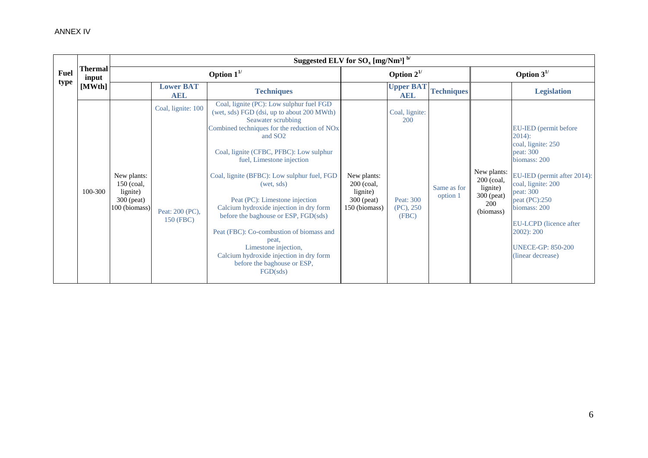|             |                         |                                                                        |                                                    | Suggested ELV for $\text{SO}_x$ [mg/Nm <sup>3]</sup> $^{b'}$                                                                                                                                                                                                                                                                                                                                                                                                                                                                                                                                                                 |                                                                          |                                                             |                         |                                                                         |                                                                                                                                                                                                                                                                                             |
|-------------|-------------------------|------------------------------------------------------------------------|----------------------------------------------------|------------------------------------------------------------------------------------------------------------------------------------------------------------------------------------------------------------------------------------------------------------------------------------------------------------------------------------------------------------------------------------------------------------------------------------------------------------------------------------------------------------------------------------------------------------------------------------------------------------------------------|--------------------------------------------------------------------------|-------------------------------------------------------------|-------------------------|-------------------------------------------------------------------------|---------------------------------------------------------------------------------------------------------------------------------------------------------------------------------------------------------------------------------------------------------------------------------------------|
| <b>Fuel</b> | <b>Thermal</b><br>input | Option $1^{1/2}$                                                       |                                                    |                                                                                                                                                                                                                                                                                                                                                                                                                                                                                                                                                                                                                              | Option $2^{1/2}$                                                         |                                                             |                         | Option $3^{1/2}$                                                        |                                                                                                                                                                                                                                                                                             |
| type        | [MWth]                  |                                                                        | <b>Lower BAT</b><br><b>AEL</b>                     | <b>Techniques</b>                                                                                                                                                                                                                                                                                                                                                                                                                                                                                                                                                                                                            |                                                                          | <b>Upper BAT</b><br><b>AEL</b>                              | <b>Techniques</b>       |                                                                         | <b>Legislation</b>                                                                                                                                                                                                                                                                          |
|             | 100-300                 | New plants:<br>$150$ (coal,<br>lignite)<br>300 (peat)<br>100 (biomass) | Coal, lignite: 100<br>Peat: 200 (PC),<br>150 (FBC) | Coal, lignite (PC): Low sulphur fuel FGD<br>(wet, sds) FGD (dsi, up to about 200 MWth)<br>Seawater scrubbing<br>Combined techniques for the reduction of NO <sub>x</sub><br>and SO <sub>2</sub><br>Coal, lignite (CFBC, PFBC): Low sulphur<br>fuel, Limestone injection<br>Coal, lignite (BFBC): Low sulphur fuel, FGD<br>(wet, sds)<br>Peat (PC): Limestone injection<br>Calcium hydroxide injection in dry form<br>before the baghouse or ESP, FGD(sds)<br>Peat (FBC): Co-combustion of biomass and<br>peat.<br>Limestone injection,<br>Calcium hydroxide injection in dry form<br>before the baghouse or ESP,<br>FGD(sds) | New plants:<br>$200$ (coal,<br>lignite)<br>$300$ (peat)<br>150 (biomass) | Coal, lignite:<br>200<br>Peat: 300<br>$(PC)$ , 250<br>(FBC) | Same as for<br>option 1 | New plants:<br>200 (coal,<br>lignite)<br>300 (peat)<br>200<br>(biomass) | EU-IED (permit before<br>$2014$ :<br>coal, lignite: 250<br>peat: 300<br>biomass: 200<br>EU-IED (permit after 2014):<br>coal, lignite: 200<br>peat: 300<br>peat (PC):250<br>biomass: 200<br><b>EU-LCPD</b> (licence after<br>$2002$ : $200$<br><b>UNECE-GP: 850-200</b><br>(linear decrease) |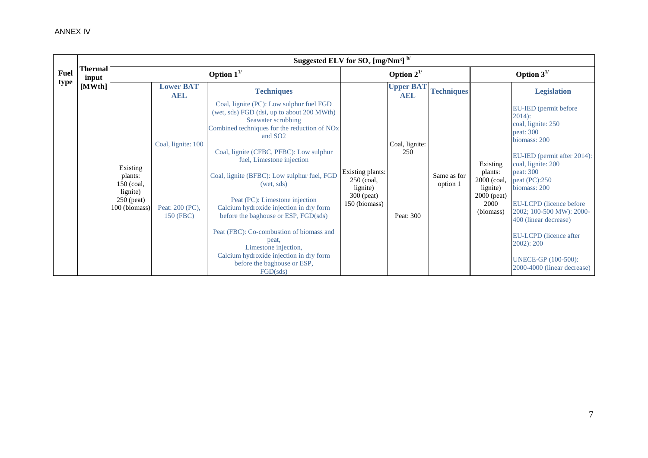|             |                  |                                                                                  |                                                    | Suggested ELV for $\rm{SO}_{x}$ [mg/Nm <sup>3]</sup> $^{\rm{b}}$ /                                                                                                                                                                                                                                                                                                                                                                                                                                                                                                                                                           |                                                                             |                                    |                         |                                                                                      |                                                                                                                                                                                                                                                                                                                                                                                  |
|-------------|------------------|----------------------------------------------------------------------------------|----------------------------------------------------|------------------------------------------------------------------------------------------------------------------------------------------------------------------------------------------------------------------------------------------------------------------------------------------------------------------------------------------------------------------------------------------------------------------------------------------------------------------------------------------------------------------------------------------------------------------------------------------------------------------------------|-----------------------------------------------------------------------------|------------------------------------|-------------------------|--------------------------------------------------------------------------------------|----------------------------------------------------------------------------------------------------------------------------------------------------------------------------------------------------------------------------------------------------------------------------------------------------------------------------------------------------------------------------------|
| <b>Fuel</b> | Thermal<br>input |                                                                                  |                                                    | Option $1^{1/2}$                                                                                                                                                                                                                                                                                                                                                                                                                                                                                                                                                                                                             |                                                                             | Option $2^{1/2}$                   |                         |                                                                                      | Option $3^{1/2}$                                                                                                                                                                                                                                                                                                                                                                 |
| type        | [MWth]           |                                                                                  | <b>Lower BAT</b><br><b>AEL</b>                     | <b>Techniques</b>                                                                                                                                                                                                                                                                                                                                                                                                                                                                                                                                                                                                            |                                                                             | <b>Upper BAT</b><br><b>AEL</b>     | <b>Techniques</b>       |                                                                                      | <b>Legislation</b>                                                                                                                                                                                                                                                                                                                                                               |
|             |                  | Existing<br>plants:<br>$150$ (coal,<br>lignite)<br>$250$ (peat)<br>100 (biomass) | Coal, lignite: 100<br>Peat: 200 (PC),<br>150 (FBC) | Coal, lignite (PC): Low sulphur fuel FGD<br>(wet, sds) FGD (dsi, up to about 200 MWth)<br>Seawater scrubbing<br>Combined techniques for the reduction of NO <sub>x</sub><br>and SO <sub>2</sub><br>Coal, lignite (CFBC, PFBC): Low sulphur<br>fuel, Limestone injection<br>Coal, lignite (BFBC): Low sulphur fuel, FGD<br>(wet, sds)<br>Peat (PC): Limestone injection<br>Calcium hydroxide injection in dry form<br>before the baghouse or ESP, FGD(sds)<br>Peat (FBC): Co-combustion of biomass and<br>peat.<br>Limestone injection,<br>Calcium hydroxide injection in dry form<br>before the baghouse or ESP,<br>FGD(sds) | Existing plants:<br>250 (coal,<br>lignite)<br>$300$ (peat)<br>150 (biomass) | Coal, lignite:<br>250<br>Peat: 300 | Same as for<br>option 1 | Existing<br>plants:<br>2000 (coal,<br>lignite)<br>$2000$ (peat)<br>2000<br>(biomass) | EU-IED (permit before<br>$2014$ :<br>coal, lignite: 250<br>peat: 300<br>biomass: 200<br>EU-IED (permit after 2014):<br>coal, lignite: 200<br>peat: 300<br>peat (PC):250<br>biomass: 200<br>EU-LCPD (licence before<br>2002; 100-500 MW): 2000-<br>400 (linear decrease)<br>EU-LCPD (licence after<br>$2002$ : $200$<br><b>UNECE-GP</b> (100-500):<br>2000-4000 (linear decrease) |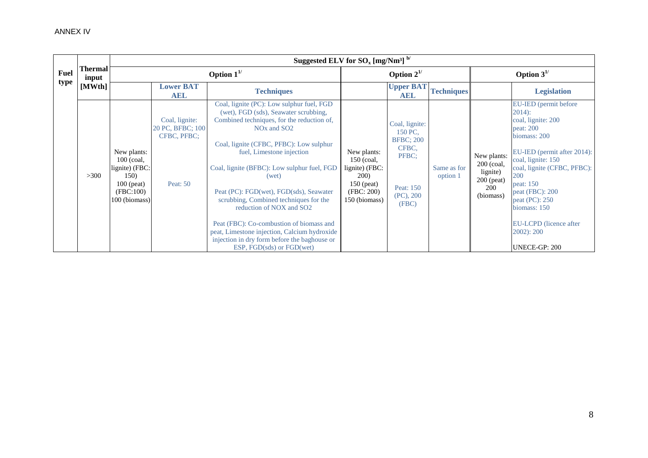|      |                         |                                                                                                     |                                                               | Suggested ELV for $SO_x$ [mg/Nm <sup>3]</sup> $^{b'}$                                                                                                                                                                                                                                                                                                                                                                                                                                                                                                                                             |                                                                                                              |                                                                                                     |                         |                                                                                  |                                                                                                                                                                                                                                                                                                                   |
|------|-------------------------|-----------------------------------------------------------------------------------------------------|---------------------------------------------------------------|---------------------------------------------------------------------------------------------------------------------------------------------------------------------------------------------------------------------------------------------------------------------------------------------------------------------------------------------------------------------------------------------------------------------------------------------------------------------------------------------------------------------------------------------------------------------------------------------------|--------------------------------------------------------------------------------------------------------------|-----------------------------------------------------------------------------------------------------|-------------------------|----------------------------------------------------------------------------------|-------------------------------------------------------------------------------------------------------------------------------------------------------------------------------------------------------------------------------------------------------------------------------------------------------------------|
| Fuel | <b>Thermal</b><br>input |                                                                                                     |                                                               | Option $1^{1/2}$                                                                                                                                                                                                                                                                                                                                                                                                                                                                                                                                                                                  |                                                                                                              | Option $2^{1/2}$                                                                                    |                         |                                                                                  | Option $3^{1/2}$                                                                                                                                                                                                                                                                                                  |
| type | [MWth]                  |                                                                                                     | <b>Lower BAT</b><br><b>AEL</b>                                | <b>Techniques</b>                                                                                                                                                                                                                                                                                                                                                                                                                                                                                                                                                                                 |                                                                                                              | <b>Upper BAT</b><br><b>AEL</b>                                                                      | <b>Techniques</b>       |                                                                                  | <b>Legislation</b>                                                                                                                                                                                                                                                                                                |
|      | >300                    | New plants:<br>$100$ (coal,<br>lignite) (FBC:<br>150)<br>$100$ (peat)<br>(FBC:100)<br>100 (biomass) | Coal, lignite:<br>20 PC, BFBC; 100<br>CFBC, PFBC:<br>Peat: 50 | Coal, lignite (PC): Low sulphur fuel, FGD<br>(wet), FGD (sds), Seawater scrubbing,<br>Combined techniques, for the reduction of,<br>NO <sub>x</sub> and SO <sub>2</sub><br>Coal, lignite (CFBC, PFBC): Low sulphur<br>fuel, Limestone injection<br>Coal, lignite (BFBC): Low sulphur fuel, FGD<br>(wet)<br>Peat (PC): FGD(wet), FGD(sds), Seawater<br>scrubbing, Combined techniques for the<br>reduction of NOX and SO2<br>Peat (FBC): Co-combustion of biomass and<br>peat, Limestone injection, Calcium hydroxide<br>injection in dry form before the baghouse or<br>ESP, FGD(sds) or FGD(wet) | New plants:<br>$150$ (coal,<br>lignite) (FBC:<br><b>200</b> )<br>$150$ (peat)<br>(FBC: 200)<br>150 (biomass) | Coal, lignite:<br>150 PC.<br><b>BFBC</b> ; 200<br>CFBC.<br>PFBC:<br>Peat: 150<br>(PC), 200<br>(FBC) | Same as for<br>option 1 | New plants:<br>200 (coal,<br>lignite)<br>$200$ (peat)<br><b>200</b><br>(biomass) | EU-IED (permit before<br>$2014$ :<br>coal, lignite: 200<br>peat: 200<br>biomass: 200<br>EU-IED (permit after 2014):<br>coal, lignite: 150<br>coal, lignite (CFBC, PFBC):<br>200<br>peat: 150<br>peat (FBC): 200<br>peat $(PC)$ : 250<br>biomass: 150<br>EU-LCPD (licence after<br>$2002$ : $200$<br>UNECE-GP: 200 |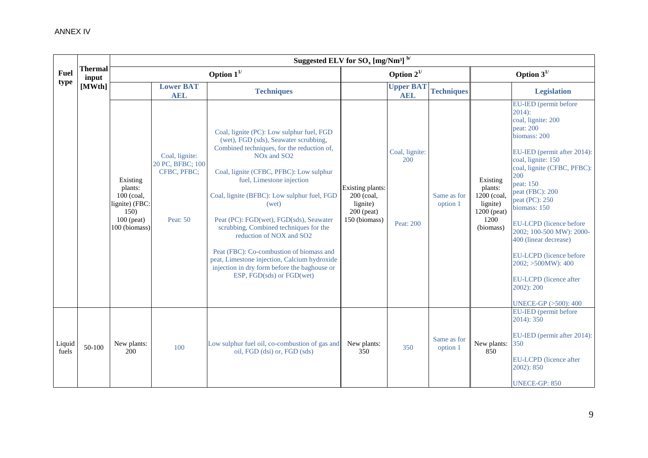|                 |                         |                                                                                                | Suggested ELV for $\text{SO}_x$ [mg/Nm <sup>3]</sup> $^{\text{b}}$ / |                                                                                                                                                                                                                                                                                                                                                                                                                                                                                                                                                                                                   |                                                                             |                                    |                         |                                                                                    |                                                                                                                                                                                                                                                                                                                                                                                                                                                                     |  |  |
|-----------------|-------------------------|------------------------------------------------------------------------------------------------|----------------------------------------------------------------------|---------------------------------------------------------------------------------------------------------------------------------------------------------------------------------------------------------------------------------------------------------------------------------------------------------------------------------------------------------------------------------------------------------------------------------------------------------------------------------------------------------------------------------------------------------------------------------------------------|-----------------------------------------------------------------------------|------------------------------------|-------------------------|------------------------------------------------------------------------------------|---------------------------------------------------------------------------------------------------------------------------------------------------------------------------------------------------------------------------------------------------------------------------------------------------------------------------------------------------------------------------------------------------------------------------------------------------------------------|--|--|
| Fuel            | <b>Thermal</b><br>input |                                                                                                |                                                                      | Option $1^{1/2}$                                                                                                                                                                                                                                                                                                                                                                                                                                                                                                                                                                                  |                                                                             | Option $2^{1/2}$                   |                         | Option $3^{1/2}$                                                                   |                                                                                                                                                                                                                                                                                                                                                                                                                                                                     |  |  |
| type            | [MWth]                  |                                                                                                | <b>Lower BAT</b><br><b>AEL</b>                                       | <b>Techniques</b>                                                                                                                                                                                                                                                                                                                                                                                                                                                                                                                                                                                 |                                                                             | <b>Upper BAT</b><br><b>AEL</b>     | <b>Techniques</b>       |                                                                                    | <b>Legislation</b>                                                                                                                                                                                                                                                                                                                                                                                                                                                  |  |  |
|                 |                         | Existing<br>plants:<br>$100$ (coal,<br>lignite) (FBC:<br>150)<br>$100$ (peat)<br>100 (biomass) | Coal, lignite:<br>20 PC, BFBC; 100<br>CFBC, PFBC;<br>Peat: 50        | Coal, lignite (PC): Low sulphur fuel, FGD<br>(wet), FGD (sds), Seawater scrubbing,<br>Combined techniques, for the reduction of,<br>NO <sub>x</sub> and SO <sub>2</sub><br>Coal, lignite (CFBC, PFBC): Low sulphur<br>fuel, Limestone injection<br>Coal, lignite (BFBC): Low sulphur fuel, FGD<br>(wet)<br>Peat (PC): FGD(wet), FGD(sds), Seawater<br>scrubbing, Combined techniques for the<br>reduction of NOX and SO2<br>Peat (FBC): Co-combustion of biomass and<br>peat, Limestone injection, Calcium hydroxide<br>injection in dry form before the baghouse or<br>ESP, FGD(sds) or FGD(wet) | Existing plants:<br>200 (coal,<br>lignite)<br>$200$ (peat)<br>150 (biomass) | Coal, lignite:<br>200<br>Peat: 200 | Same as for<br>option 1 | Existing<br>plants:<br>1200 (coal,<br>lignite)<br>1200 (peat)<br>1200<br>(biomass) | EU-IED (permit before<br>$2014$ :<br>coal, lignite: 200<br>peat: 200<br>biomass: 200<br>EU-IED (permit after 2014):<br>coal, lignite: 150<br>coal, lignite (CFBC, PFBC):<br>200<br>peat: 150<br>peat (FBC): 200<br>peat (PC): 250<br>biomass: 150<br><b>EU-LCPD</b> (licence before<br>2002; 100-500 MW): 2000-<br>400 (linear decrease)<br>EU-LCPD (licence before<br>2002; >500MW): 400<br>EU-LCPD (licence after<br>2002): 200<br><b>UNECE-GP (&gt;500): 400</b> |  |  |
| Liquid<br>fuels | 50-100                  | New plants:<br>200                                                                             | 100                                                                  | Low sulphur fuel oil, co-combustion of gas and<br>oil, FGD (dsi) or, FGD (sds)                                                                                                                                                                                                                                                                                                                                                                                                                                                                                                                    | New plants:<br>350                                                          | 350                                | Same as for<br>option 1 | New plants:<br>850                                                                 | EU-IED (permit before<br>2014): 350<br>EU-IED (permit after 2014):<br>350<br>EU-LCPD (licence after<br>2002): 850<br><b>UNECE-GP: 850</b>                                                                                                                                                                                                                                                                                                                           |  |  |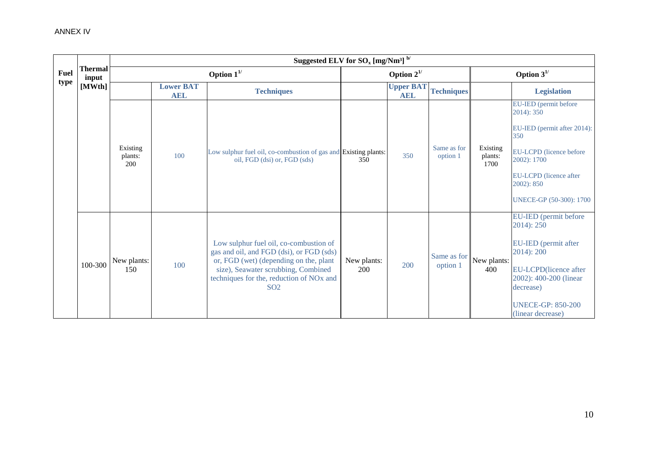|             |                         |                            |                                | Suggested ELV for $\mathrm{SO}_{x}$ [mg/Nm <sup>3]</sup> $^{\mathrm{b}}$ /                                                                                                                                                                     |                    |                                |                         |                             |                                                                                                                                                                                                 |
|-------------|-------------------------|----------------------------|--------------------------------|------------------------------------------------------------------------------------------------------------------------------------------------------------------------------------------------------------------------------------------------|--------------------|--------------------------------|-------------------------|-----------------------------|-------------------------------------------------------------------------------------------------------------------------------------------------------------------------------------------------|
| <b>Fuel</b> | <b>Thermal</b><br>input |                            |                                |                                                                                                                                                                                                                                                | Option $2^{1/2}$   |                                |                         | Option $3^{1/2}$            |                                                                                                                                                                                                 |
| type        | [MWth]                  |                            | <b>Lower BAT</b><br><b>AEL</b> | <b>Techniques</b>                                                                                                                                                                                                                              |                    | <b>Upper BAT</b><br><b>AEL</b> | <b>Techniques</b>       |                             | <b>Legislation</b>                                                                                                                                                                              |
|             |                         | Existing<br>plants:<br>200 | 100                            | Low sulphur fuel oil, co-combustion of gas and Existing plants:<br>oil, FGD (dsi) or, FGD (sds)                                                                                                                                                | 350                | 350                            | Same as for<br>option 1 | Existing<br>plants:<br>1700 | EU-IED (permit before<br>$2014$ : 350<br>EU-IED (permit after 2014):<br>350<br><b>EU-LCPD</b> (licence before<br>2002): 1700<br>EU-LCPD (licence after<br>2002): 850<br>UNECE-GP (50-300): 1700 |
|             | 100-300                 | New plants:<br>150         | 100                            | Low sulphur fuel oil, co-combustion of<br>gas and oil, and FGD (dsi), or FGD (sds)<br>or, FGD (wet) (depending on the, plant<br>size), Seawater scrubbing, Combined<br>techniques for the, reduction of NO <sub>x</sub> and<br>SO <sub>2</sub> | New plants:<br>200 | 200                            | Same as for<br>option 1 | New plants:<br>400          | EU-IED (permit before<br>2014): 250<br>EU-IED (permit after<br>$2014$ : $200$<br>EU-LCPD(licence after<br>2002): 400-200 (linear<br>decrease)<br><b>UNECE-GP: 850-200</b><br>(linear decrease)  |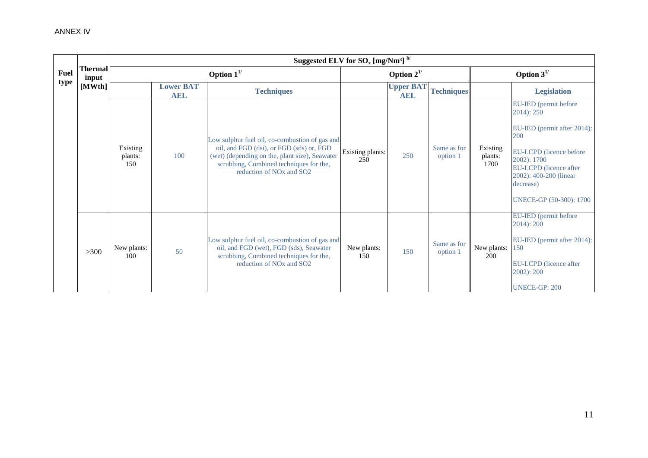|             |                  |                            |                                | Suggested ELV for $\text{SO}_x$ [mg/Nm <sup>3]</sup> $^{\text{b}}$ /                                                                                                                                                                        |                         |                                |                         |                             |                                                                                                                                                                                                                     |
|-------------|------------------|----------------------------|--------------------------------|---------------------------------------------------------------------------------------------------------------------------------------------------------------------------------------------------------------------------------------------|-------------------------|--------------------------------|-------------------------|-----------------------------|---------------------------------------------------------------------------------------------------------------------------------------------------------------------------------------------------------------------|
| <b>Fuel</b> | Thermal<br>input |                            |                                | Option $1^{1/2}$                                                                                                                                                                                                                            |                         | Option $2^{1/2}$               |                         | Option $3^{1/2}$            |                                                                                                                                                                                                                     |
| type        | [MWth]           |                            | <b>Lower BAT</b><br><b>AEL</b> | <b>Techniques</b>                                                                                                                                                                                                                           |                         | <b>Upper BAT</b><br><b>AEL</b> | <b>Techniques</b>       |                             | <b>Legislation</b>                                                                                                                                                                                                  |
|             |                  | Existing<br>plants:<br>150 | 100                            | Low sulphur fuel oil, co-combustion of gas and<br>oil, and FGD (dsi), or FGD (sds) or, FGD<br>(wet) (depending on the, plant size), Seawater<br>scrubbing, Combined techniques for the,<br>reduction of NO <sub>x</sub> and SO <sub>2</sub> | Existing plants:<br>250 | 250                            | Same as for<br>option 1 | Existing<br>plants:<br>1700 | EU-IED (permit before<br>$2014$ : $250$<br>EU-IED (permit after 2014):<br>200<br>EU-LCPD (licence before<br>2002): 1700<br>EU-LCPD (licence after<br>2002): 400-200 (linear<br>decrease)<br>UNECE-GP (50-300): 1700 |
|             | $>300$           | New plants:<br>100         | 50                             | Low sulphur fuel oil, co-combustion of gas and<br>oil, and FGD (wet), FGD (sds), Seawater<br>scrubbing, Combined techniques for the,<br>reduction of NO <sub>x</sub> and SO <sub>2</sub>                                                    | New plants:<br>150      | 150                            | Same as for<br>option 1 | New plants:<br>200          | EU-IED (permit before<br>2014): 200<br>EU-IED (permit after 2014):<br>150<br>EU-LCPD (licence after<br>$2002$ : $200$<br><b>UNECE-GP: 200</b>                                                                       |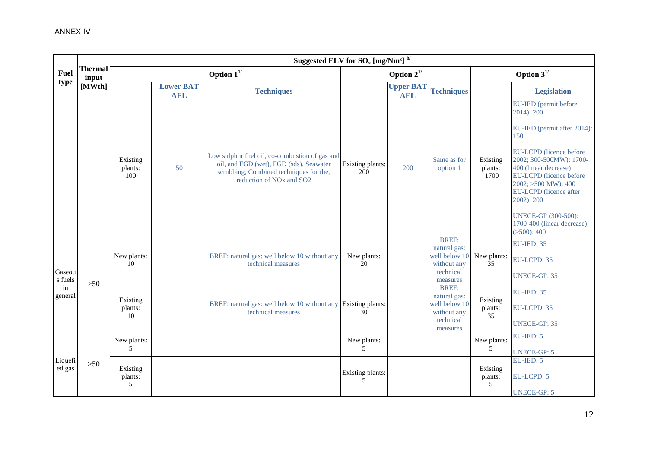|                   |                         |                            |                                | Suggested ELV for $\mathrm{SO}_x\,[\mathrm{mg/Nm^3}]$ $^{\mathrm{b/}}$                                                                                                                   |                         |                                |                                                                                       |                             |                                                                                                                                                                                                                                                                                                                                     |
|-------------------|-------------------------|----------------------------|--------------------------------|------------------------------------------------------------------------------------------------------------------------------------------------------------------------------------------|-------------------------|--------------------------------|---------------------------------------------------------------------------------------|-----------------------------|-------------------------------------------------------------------------------------------------------------------------------------------------------------------------------------------------------------------------------------------------------------------------------------------------------------------------------------|
| <b>Fuel</b>       | <b>Thermal</b><br>input |                            |                                | Option $1^{1/2}$                                                                                                                                                                         |                         | Option $2^{1/2}$               |                                                                                       | Option $3^{1/2}$            |                                                                                                                                                                                                                                                                                                                                     |
| type              | [MWth]                  |                            | <b>Lower BAT</b><br><b>AEL</b> | <b>Techniques</b>                                                                                                                                                                        |                         | <b>Upper BAT</b><br><b>AEL</b> | <b>Techniques</b>                                                                     |                             | <b>Legislation</b>                                                                                                                                                                                                                                                                                                                  |
|                   |                         | Existing<br>plants:<br>100 | 50                             | Low sulphur fuel oil, co-combustion of gas and<br>oil, and FGD (wet), FGD (sds), Seawater<br>scrubbing, Combined techniques for the,<br>reduction of NO <sub>x</sub> and SO <sub>2</sub> | Existing plants:<br>200 | 200                            | Same as for<br>option 1                                                               | Existing<br>plants:<br>1700 | EU-IED (permit before<br>$2014$ : $200$<br>EU-IED (permit after 2014):<br>150<br>EU-LCPD (licence before<br>2002; 300-500MW): 1700-<br>400 (linear decrease)<br>EU-LCPD (licence before<br>2002; >500 MW): 400<br>EU-LCPD (licence after<br>2002): 200<br><b>UNECE-GP (300-500):</b><br>1700-400 (linear decrease);<br>( >500): 400 |
| Gaseou<br>s fuels |                         | New plants:<br>10          |                                | BREF: natural gas: well below 10 without any<br>technical measures                                                                                                                       | New plants:<br>20       |                                | <b>BREF:</b><br>natural gas:<br>well below 10<br>without any<br>technical<br>measures | New plants:<br>35           | <b>EU-IED: 35</b><br>EU-LCPD: 35<br><b>UNECE-GP: 35</b>                                                                                                                                                                                                                                                                             |
| in<br>general     | $>50$                   | Existing<br>plants:<br>10  |                                | BREF: natural gas: well below 10 without any Existing plants:<br>technical measures                                                                                                      | 30                      |                                | <b>BREF:</b><br>natural gas:<br>well below 10<br>without any<br>technical<br>measures | Existing<br>plants:<br>35   | <b>EU-IED: 35</b><br>EU-LCPD: 35<br><b>UNECE-GP: 35</b>                                                                                                                                                                                                                                                                             |
|                   |                         | New plants:<br>5           |                                |                                                                                                                                                                                          | New plants:<br>5        |                                |                                                                                       | New plants:<br>5            | $EU-IED: 5$<br><b>UNECE-GP: 5</b>                                                                                                                                                                                                                                                                                                   |
| Liquefi<br>ed gas | $>50$                   | Existing<br>plants:<br>5   |                                |                                                                                                                                                                                          | Existing plants:<br>5   |                                |                                                                                       | Existing<br>plants:<br>5    | EU-IED: 5<br><b>EU-LCPD: 5</b><br><b>UNECE-GP: 5</b>                                                                                                                                                                                                                                                                                |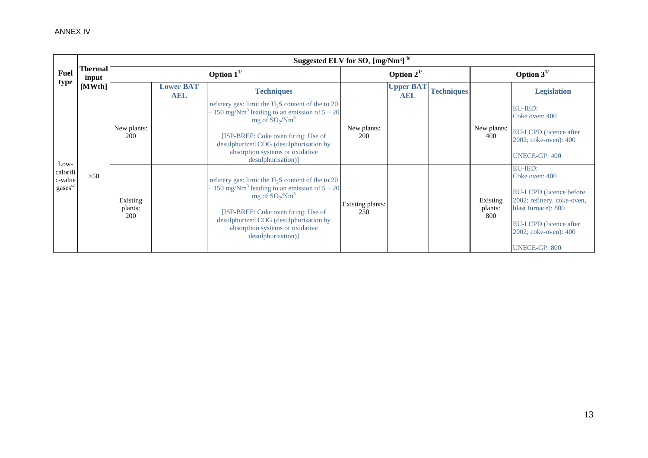|                                                    |                  |                            |                                | Suggested ELV for $SO_x$ [mg/Nm <sup>3]</sup> $^{b/}$                                                                                                                                                                                                                                      |                         |                                |                   |                            |                                                                                                                                                                                              |  |
|----------------------------------------------------|------------------|----------------------------|--------------------------------|--------------------------------------------------------------------------------------------------------------------------------------------------------------------------------------------------------------------------------------------------------------------------------------------|-------------------------|--------------------------------|-------------------|----------------------------|----------------------------------------------------------------------------------------------------------------------------------------------------------------------------------------------|--|
| Fuel                                               | Thermal<br>input |                            | Option $1^{1/2}$               |                                                                                                                                                                                                                                                                                            |                         | Option $2^{1/2}$               |                   |                            | Option $3^{1/2}$                                                                                                                                                                             |  |
| type                                               | [MWth]           |                            | <b>Lower BAT</b><br><b>AEL</b> | <b>Techniques</b>                                                                                                                                                                                                                                                                          |                         | <b>Upper BAT</b><br><b>AEL</b> | <b>Techniques</b> |                            | <b>Legislation</b>                                                                                                                                                                           |  |
| Low-                                               |                  | New plants:<br><b>200</b>  |                                | refinery gas: limit the $H_2S$ content of the to 20<br>- 150 mg/Nm <sup>3</sup> leading to an emission of $5 - 20$<br>mg of $SO_2/Nm^3$<br>[ISP-BREF: Coke oven firing: Use of<br>desulphurized COG (desulphurisation by<br>absorption systems or oxidative<br>desulphurisation)]          | New plants:<br>200      |                                |                   | New plants:<br>400         | <b>EU-IED:</b><br>Coke oven: 400<br>EU-LCPD (licence after<br>2002; coke-oven): 400<br>UNECE-GP: 400                                                                                         |  |
| calorifi<br>c-value<br>$\text{gases}^{\text{c/s}}$ | $>50$            | Existing<br>plants:<br>200 |                                | refinery gas: limit the H <sub>2</sub> S content of the to 20<br>$-150$ mg/Nm <sup>3</sup> leading to an emission of $5-20$<br>mg of $SO_2/Nm^3$<br>[ISP-BREF: Coke oven firing: Use of<br>desulphurized COG (desulphurisation by<br>absorption systems or oxidative<br>desulphurisation)] | Existing plants:<br>250 |                                |                   | Existing<br>plants:<br>800 | <b>EU-IED:</b><br>Coke oven: 400<br>EU-LCPD (licence before)<br>2002; refinery, coke-oven,<br>blast furnace): 800<br>EU-LCPD (licence after<br>2002; coke-oven): 400<br><b>UNECE-GP: 800</b> |  |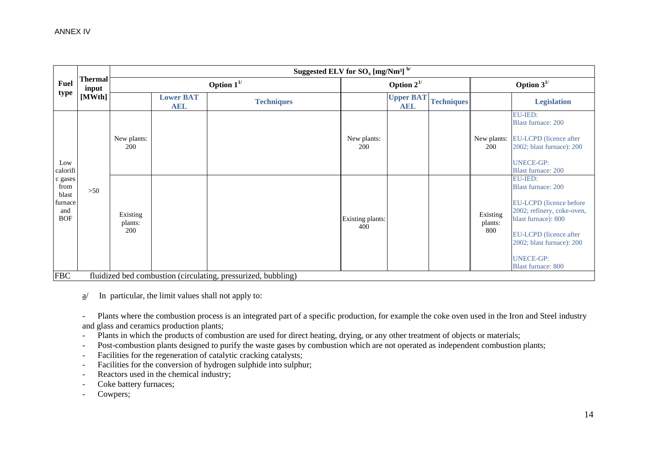|                                                          |                         |                            |                                | Suggested ELV for $\text{SO}_x$ [mg/Nm <sup>3]</sup> $^{\text{b}}$ |                         |                                |                   |                            |                                                                                                                                                                                                                                            |
|----------------------------------------------------------|-------------------------|----------------------------|--------------------------------|--------------------------------------------------------------------|-------------------------|--------------------------------|-------------------|----------------------------|--------------------------------------------------------------------------------------------------------------------------------------------------------------------------------------------------------------------------------------------|
| <b>Fuel</b>                                              | <b>Thermal</b><br>input |                            |                                | Option $1^{1/2}$                                                   | Option $2^{1/2}$        |                                |                   | Option $3^{1/2}$           |                                                                                                                                                                                                                                            |
| type                                                     | [MWth]                  |                            | <b>Lower BAT</b><br><b>AEL</b> | <b>Techniques</b>                                                  |                         | <b>Upper BAT</b><br><b>AEL</b> | <b>Techniques</b> |                            | <b>Legislation</b>                                                                                                                                                                                                                         |
| Low<br>calorifi                                          |                         | New plants:<br>200         |                                |                                                                    | New plants:<br>200      |                                |                   | New plants:<br>200         | <b>EU-IED:</b><br><b>Blast furnace: 200</b><br>EU-LCPD (licence after<br>2002; blast furnace): 200<br><b>UNECE-GP:</b><br><b>Blast furnace: 200</b>                                                                                        |
| c gases<br>from<br>blast<br>furnace<br>and<br><b>BOF</b> | >50                     | Existing<br>plants:<br>200 |                                |                                                                    | Existing plants:<br>400 |                                |                   | Existing<br>plants:<br>800 | <b>EU-IED:</b><br><b>Blast furnace: 200</b><br>EU-LCPD (licence before<br>2002; refinery, coke-oven,<br>blast furnace): 800<br><b>EU-LCPD</b> (licence after<br>2002; blast furnace): 200<br><b>UNECE-GP:</b><br><b>Blast furnace: 800</b> |
| <b>FBC</b>                                               |                         |                            |                                | fluidized bed combustion (circulating, pressurized, bubbling)      |                         |                                |                   |                            |                                                                                                                                                                                                                                            |

 $a$  In particular, the limit values shall not apply to:

- Plants where the combustion process is an integrated part of a specific production, for example the coke oven used in the Iron and Steel industry and glass and ceramics production plants;

- Plants in which the products of combustion are used for direct heating, drying, or any other treatment of objects or materials;
- Post-combustion plants designed to purify the waste gases by combustion which are not operated as independent combustion plants;
- Facilities for the regeneration of catalytic cracking catalysts;
- Facilities for the conversion of hydrogen sulphide into sulphur;
- Reactors used in the chemical industry:
- Coke battery furnaces;
- Cowpers;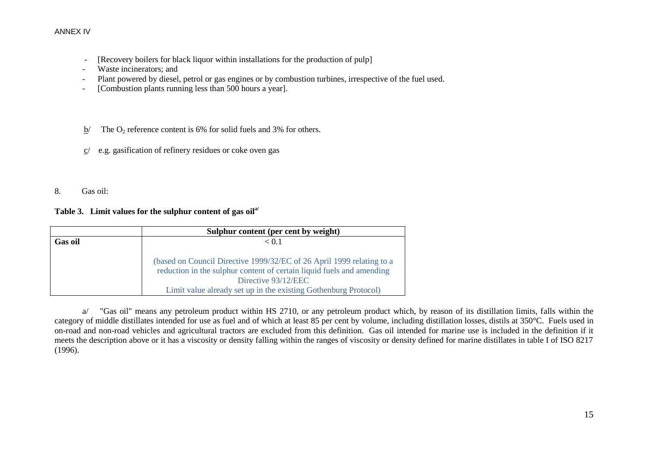- [Recovery boilers for black liquor within installations for the production of pulp]
- Waste incinerators; and
- Plant powered by diesel, petrol or gas engines or by combustion turbines, irrespective of the fuel used.
- [Combustion plants running less than 500 hours a year].
- $b$  The O<sub>2</sub> reference content is 6% for solid fuels and 3% for others.
- c/ e.g. gasification of refinery residues or coke oven gas
- 8. Gas oil:

# **Table 3. Limit values for the sulphur content of gas oila/**

|                | Sulphur content (per cent by weight)                                  |
|----------------|-----------------------------------------------------------------------|
| <b>Gas oil</b> | $\leq 0.1$                                                            |
|                |                                                                       |
|                | (based on Council Directive 1999/32/EC of 26 April 1999 relating to a |
|                | reduction in the sulphur content of certain liquid fuels and amending |
|                | Directive 93/12/EEC                                                   |
|                | Limit value already set up in the existing Gothenburg Protocol)       |

a/ "Gas oil" means any petroleum product within HS 2710, or any petroleum product which, by reason of its distillation limits, falls within the category of middle distillates intended for use as fuel and of which at least 85 per cent by volume, including distillation losses, distils at 350°C. Fuels used in on-road and non-road vehicles and agricultural tractors are excluded from this definition. Gas oil intended for marine use is included in the definition if it meets the description above or it has a viscosity or density falling within the ranges of viscosity or density defined for marine distillates in table I of ISO 8217 (1996).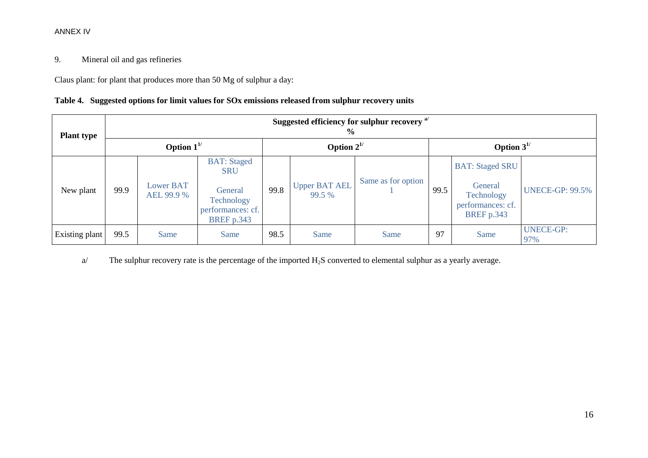# 9. Mineral oil and gas refineries

Claus plant: for plant that produces more than 50 Mg of sulphur a day:

|  | Table 4. Suggested options for limit values for SOx emissions released from sulphur recovery units |  |  |  |  |  |
|--|----------------------------------------------------------------------------------------------------|--|--|--|--|--|
|--|----------------------------------------------------------------------------------------------------|--|--|--|--|--|

| <b>Plant type</b> | Suggested efficiency for sulphur recovery <sup>a/</sup><br>$\frac{6}{9}$ |                                |                                                                                                     |                  |                         |                    |                  |                                                                                           |                         |  |
|-------------------|--------------------------------------------------------------------------|--------------------------------|-----------------------------------------------------------------------------------------------------|------------------|-------------------------|--------------------|------------------|-------------------------------------------------------------------------------------------|-------------------------|--|
|                   | Option $1^{1/2}$                                                         |                                |                                                                                                     | Option $2^{1/2}$ |                         |                    | Option $3^{1/2}$ |                                                                                           |                         |  |
| New plant         | 99.9                                                                     | <b>Lower BAT</b><br>AEL 99.9 % | <b>BAT:</b> Staged<br><b>SRU</b><br>General<br>Technology<br>performances: cf.<br><b>BREF</b> p.343 | 99.8             | Upper BAT AEL<br>99.5 % | Same as for option | 99.5             | <b>BAT: Staged SRU</b><br>General<br>Technology<br>performances: cf.<br><b>BREF</b> p.343 | <b>UNECE-GP: 99.5%</b>  |  |
| Existing plant    | 99.5                                                                     | Same                           | Same                                                                                                | 98.5             | Same                    | Same               | 97               | Same                                                                                      | <b>UNECE-GP:</b><br>97% |  |

a/ The sulphur recovery rate is the percentage of the imported  $H_2S$  converted to elemental sulphur as a yearly average.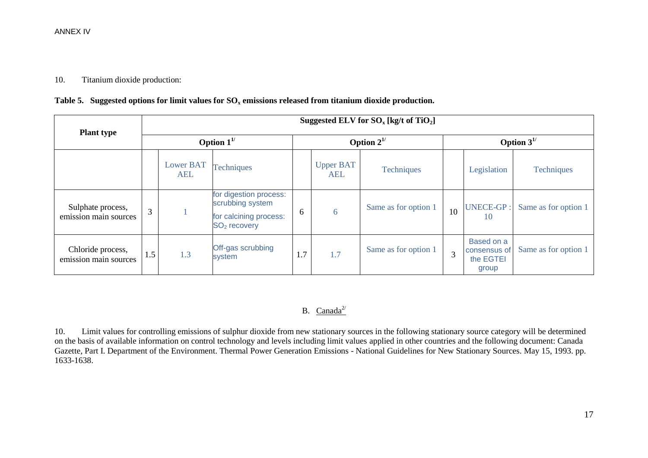#### 10. Titanium dioxide production:

|  |  |  | Table 5. Suggested options for limit values for $SO_x$ emissions released from titanium dioxide production. |
|--|--|--|-------------------------------------------------------------------------------------------------------------|
|--|--|--|-------------------------------------------------------------------------------------------------------------|

|                                            | Suggested ELV for $SO_{x}$ [kg/t of TiO <sub>2</sub> ] |                         |                                                                                                  |                  |                         |                      |                  |                                                  |                      |
|--------------------------------------------|--------------------------------------------------------|-------------------------|--------------------------------------------------------------------------------------------------|------------------|-------------------------|----------------------|------------------|--------------------------------------------------|----------------------|
| <b>Plant type</b>                          | Option $1^{1/2}$                                       |                         |                                                                                                  | Option $2^{1/2}$ |                         |                      | Option $3^{1/2}$ |                                                  |                      |
|                                            |                                                        | <b>Lower BAT</b><br>AEL | <b>Techniques</b>                                                                                |                  | <b>Upper BAT</b><br>AEL | <b>Techniques</b>    |                  | Legislation                                      | <b>Techniques</b>    |
| Sulphate process,<br>emission main sources | 3                                                      |                         | for digestion process:<br>scrubbing system<br>for calcining process:<br>SO <sub>2</sub> recovery | 6                | 6                       | Same as for option 1 | 10               | <b>UNECE-GP:</b><br>10                           | Same as for option 1 |
| Chloride process,<br>emission main sources | 1.5                                                    | 1.3                     | Off-gas scrubbing<br>system                                                                      | 1.7              | 1.7                     | Same as for option 1 | 3                | Based on a<br>consensus of<br>the EGTEI<br>group | Same as for option 1 |

# B.  $Canada^{2/2}$

10. Limit values for controlling emissions of sulphur dioxide from new stationary sources in the following stationary source category will be determined on the basis of available information on control technology and levels including limit values applied in other countries and the following document: Canada Gazette, Part I. Department of the Environment. Thermal Power Generation Emissions - National Guidelines for New Stationary Sources. May 15, 1993. pp. 1633-1638.